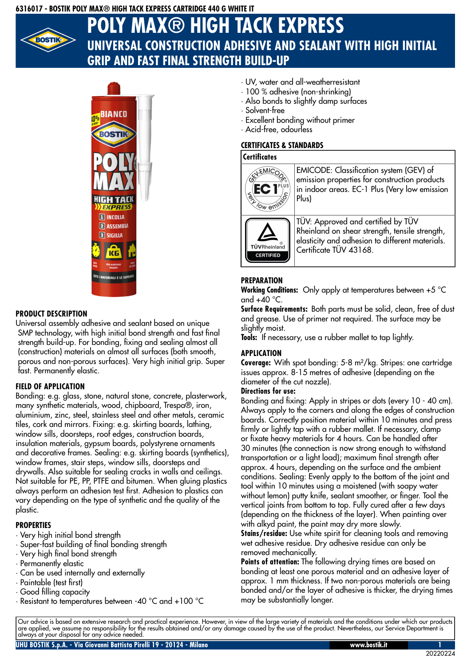### **6316017 - BOSTIK POLY MAX® HIGH TACK EXPRESS CARTRIDGE 440 G WHITE IT**



# **POLY MAX® HIGH TACK EXPRESS UNIVERSAL CONSTRUCTION ADHESIVE AND SEALANT WITH HIGH INITIAL GRIP AND FAST FINAL STRENGTH BUILD-UP**



## **PRODUCT DESCRIPTION**

Universal assembly adhesive and sealant based on unique SMP technology, with high initial bond strength and fast final strength build-up. For bonding, fixing and sealing almost all (construction) materials on almost all surfaces (both smooth, porous and non-porous surfaces). Very high initial grip. Super fast. Permanently elastic.

## **FIELD OF APPLICATION**

Bonding: e.g. glass, stone, natural stone, concrete, plasterwork, many synthetic materials, wood, chipboard, Trespa®, iron, aluminium, zinc, steel, stainless steel and other metals, ceramic tiles, cork and mirrors. Fixing: e.g. skirting boards, lathing, window sills, doorsteps, roof edges, construction boards, insulation materials, gypsum boards, polystyrene ornaments and decorative frames. Sealing: e.g. skirting boards (synthetics), window frames, stair steps, window sills, doorsteps and drywalls. Also suitable for sealing cracks in walls and ceilings. Not suitable for PE, PP, PTFE and bitumen. When gluing plastics always perform an adhesion test first. Adhesion to plastics can vary depending on the type of synthetic and the quality of the plastic.

#### **PROPERTIES**

- · Very high initial bond strength
- · Super-fast building of final bonding strength
- · Very high final bond strength
- · Permanently elastic
- · Can be used internally and externally
- · Paintable (test first)
- · Good filling capacity
- · Resistant to temperatures between -40 °C and +100 °C
- · UV, water and all-weatherresistant
- · 100 % adhesive (non-shrinking)
- · Also bonds to slightly damp surfaces
- · Solvent-free
- · Excellent bonding without primer
- · Acid-free, odourless

# **CERTIFICATES & STANDARDS**

#### **Certificates**



# **PREPARATION**

**Working Conditions:** Only apply at temperatures between +5 °C and  $+40$  °C.

Surface Requirements: Both parts must be solid, clean, free of dust and grease. Use of primer not required. The surface may be slightly moist.

**Tools:** If necessary, use a rubber mallet to tap lightly.

## **APPLICATION**

**Coverage:** With spot bonding: 5-8 m²/kg. Stripes: one cartridge issues approx. 8-15 metres of adhesive (depending on the diameter of the cut nozzle).

### **Directions for use:**

Bonding and fixing: Apply in stripes or dots (every 10 - 40 cm). Always apply to the corners and along the edges of construction boards. Correctly position material within 10 minutes and press firmly or lightly tap with a rubber mallet. If necessary, clamp or fixate heavy materials for 4 hours. Can be handled after 30 minutes (the connection is now strong enough to withstand transportation or a light load); maximum final strength after approx. 4 hours, depending on the surface and the ambient conditions. Sealing: Evenly apply to the bottom of the joint and tool within 10 minutes using a moistened (with soapy water without lemon) putty knife, sealant smoother, or finger. Tool the vertical joints from bottom to top. Fully cured after a few days (depending on the thickness of the layer). When painting over with alkyd paint, the paint may dry more slowly.

**Stains/residue:** Use white spirit for cleaning tools and removing wet adhesive residue. Dry adhesive residue can only be removed mechanically.

**Points of attention:** The following drying times are based on bonding at least one porous material and an adhesive layer of approx. 1 mm thickness. If two non-porous materials are being bonded and/or the layer of adhesive is thicker, the drying times may be substantially longer.

Our advice is based on extensive research and practical experience. However, in view of the large variety of materials and the conditions under which our products are applied, we assume no responsibility for the results obtained and/or any damage caused by the use of the product. Nevertheless, our Service Department is always at your disposal for any advice needed.

20220224